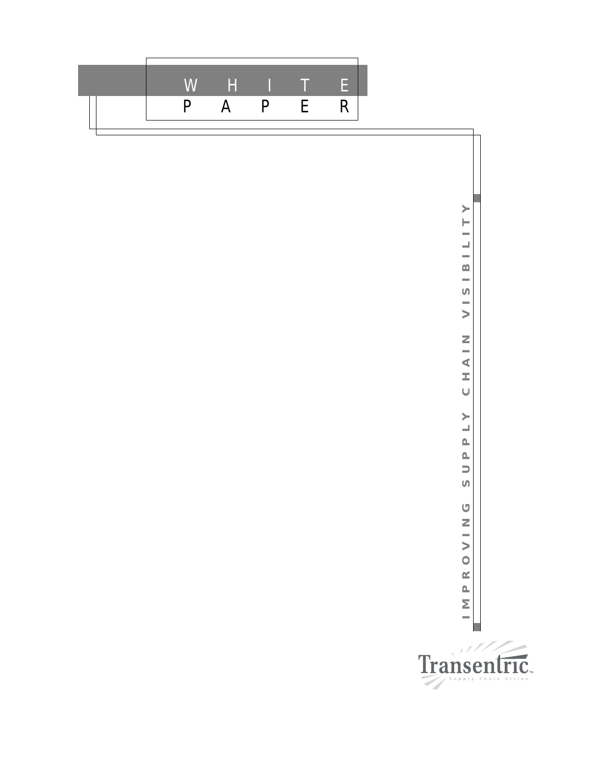



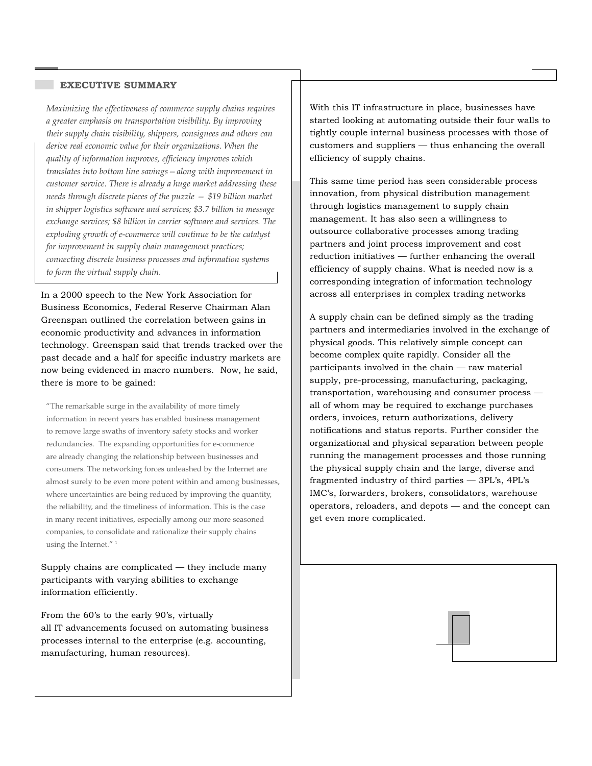# **EXECUTIVE SUMMARY**

*Maximizing the effectiveness of commerce supply chains requires a greater emphasis on transportation visibility. By improving their supply chain visibility, shippers, consignees and others can derive real economic value for their organizations. When the quality of information improves, efficiency improves which translates into bottom line savings—along with improvement in customer service. There is already a huge market addressing these needs through discrete pieces of the puzzle — \$19 billion market in shipper logistics software and services; \$3.7 billion in message exchange services; \$8 billion in carrier software and services. The exploding growth of e-commerce will continue to be the catalyst for improvement in supply chain management practices; connecting discrete business processes and information systems to form the virtual supply chain.* 

In a 2000 speech to the New York Association for Business Economics, Federal Reserve Chairman Alan Greenspan outlined the correlation between gains in economic productivity and advances in information technology. Greenspan said that trends tracked over the past decade and a half for specific industry markets are now being evidenced in macro numbers. Now, he said, there is more to be gained:

"The remarkable surge in the availability of more timely information in recent years has enabled business management to remove large swaths of inventory safety stocks and worker redundancies. The expanding opportunities for e-commerce are already changing the relationship between businesses and consumers. The networking forces unleashed by the Internet are almost surely to be even more potent within and among businesses, where uncertainties are being reduced by improving the quantity, the reliability, and the timeliness of information. This is the case in many recent initiatives, especially among our more seasoned companies, to consolidate and rationalize their supply chains using the Internet."<sup>1</sup>

Supply chains are complicated — they include many participants with varying abilities to exchange information efficiently.

From the 60's to the early 90's, virtually all IT advancements focused on automating business processes internal to the enterprise (e.g. accounting, manufacturing, human resources).

With this IT infrastructure in place, businesses have started looking at automating outside their four walls to tightly couple internal business processes with those of customers and suppliers — thus enhancing the overall efficiency of supply chains.

This same time period has seen considerable process innovation, from physical distribution management through logistics management to supply chain management. It has also seen a willingness to outsource collaborative processes among trading partners and joint process improvement and cost reduction initiatives — further enhancing the overall efficiency of supply chains. What is needed now is a corresponding integration of information technology across all enterprises in complex trading networks

A supply chain can be defined simply as the trading partners and intermediaries involved in the exchange of physical goods. This relatively simple concept can become complex quite rapidly. Consider all the participants involved in the chain — raw material supply, pre-processing, manufacturing, packaging, transportation, warehousing and consumer process all of whom may be required to exchange purchases orders, invoices, return authorizations, delivery notifications and status reports. Further consider the organizational and physical separation between people running the management processes and those running the physical supply chain and the large, diverse and fragmented industry of third parties — 3PL's, 4PL's IMC's, forwarders, brokers, consolidators, warehouse operators, reloaders, and depots — and the concept can get even more complicated.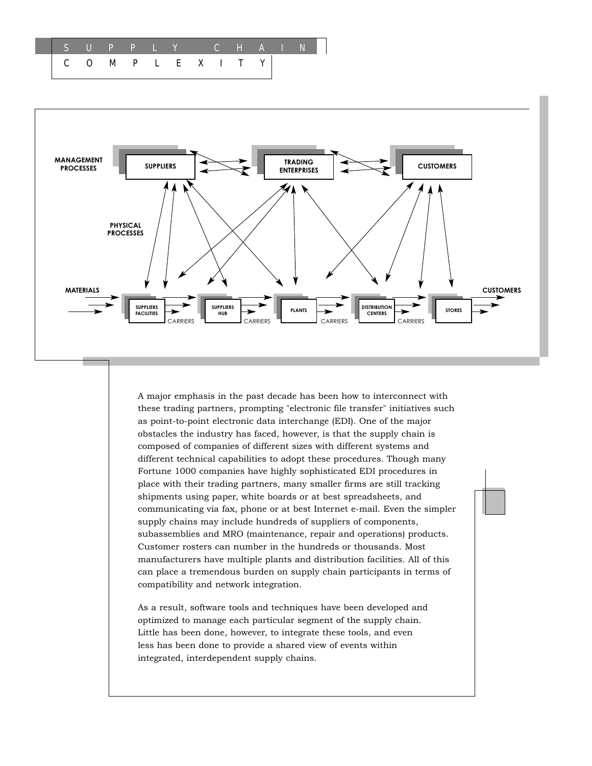|  |  |  |  |  |  | SUPPLY CHAIN |
|--|--|--|--|--|--|--------------|
|  |  |  |  |  |  |              |



A major emphasis in the past decade has been how to interconnect with these trading partners, prompting "electronic file transfer" initiatives such as point-to-point electronic data interchange (EDI). One of the major obstacles the industry has faced, however, is that the supply chain is composed of companies of different sizes with different systems and different technical capabilities to adopt these procedures. Though many Fortune 1000 companies have highly sophisticated EDI procedures in place with their trading partners, many smaller firms are still tracking shipments using paper, white boards or at best spreadsheets, and communicating via fax, phone or at best Internet e-mail. Even the simpler supply chains may include hundreds of suppliers of components, subassemblies and MRO (maintenance, repair and operations) products. Customer rosters can number in the hundreds or thousands. Most manufacturers have multiple plants and distribution facilities. All of this can place a tremendous burden on supply chain participants in terms of compatibility and network integration.

As a result, software tools and techniques have been developed and optimized to manage each particular segment of the supply chain. Little has been done, however, to integrate these tools, and even less has been done to provide a shared view of events within integrated, interdependent supply chains.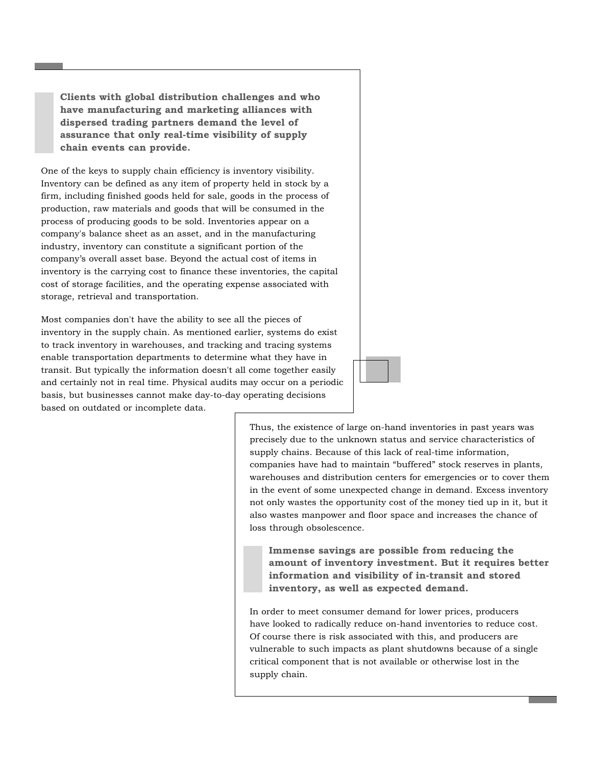**Clients with global distribution challenges and who have manufacturing and marketing alliances with dispersed trading partners demand the level of assurance that only real-time visibility of supply chain events can provide.**

One of the keys to supply chain efficiency is inventory visibility. Inventory can be defined as any item of property held in stock by a firm, including finished goods held for sale, goods in the process of production, raw materials and goods that will be consumed in the process of producing goods to be sold. Inventories appear on a company's balance sheet as an asset, and in the manufacturing industry, inventory can constitute a significant portion of the company's overall asset base. Beyond the actual cost of items in inventory is the carrying cost to finance these inventories, the capital cost of storage facilities, and the operating expense associated with storage, retrieval and transportation.

Most companies don't have the ability to see all the pieces of inventory in the supply chain. As mentioned earlier, systems do exist to track inventory in warehouses, and tracking and tracing systems enable transportation departments to determine what they have in transit. But typically the information doesn't all come together easily and certainly not in real time. Physical audits may occur on a periodic basis, but businesses cannot make day-to-day operating decisions based on outdated or incomplete data.

> Thus, the existence of large on-hand inventories in past years was precisely due to the unknown status and service characteristics of supply chains. Because of this lack of real-time information, companies have had to maintain "buffered" stock reserves in plants, warehouses and distribution centers for emergencies or to cover them in the event of some unexpected change in demand. Excess inventory not only wastes the opportunity cost of the money tied up in it, but it also wastes manpower and floor space and increases the chance of loss through obsolescence.

**Immense savings are possible from reducing the amount of inventory investment. But it requires better information and visibility of in-transit and stored inventory, as well as expected demand.**

In order to meet consumer demand for lower prices, producers have looked to radically reduce on-hand inventories to reduce cost. Of course there is risk associated with this, and producers are vulnerable to such impacts as plant shutdowns because of a single critical component that is not available or otherwise lost in the supply chain.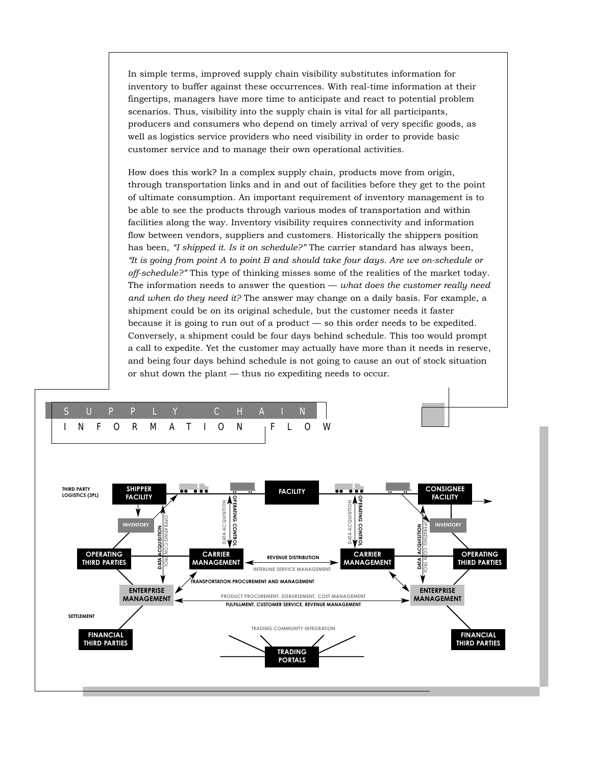In simple terms, improved supply chain visibility substitutes information for inventory to buffer against these occurrences. With real-time information at their fingertips, managers have more time to anticipate and react to potential problem scenarios. Thus, visibility into the supply chain is vital for all participants, producers and consumers who depend on timely arrival of very specific goods, as well as logistics service providers who need visibility in order to provide basic customer service and to manage their own operational activities.

How does this work? In a complex supply chain, products move from origin, through transportation links and in and out of facilities before they get to the point of ultimate consumption. An important requirement of inventory management is to be able to see the products through various modes of transportation and within facilities along the way. Inventory visibility requires connectivity and information flow between vendors, suppliers and customers. Historically the shippers position has been, *"I shipped it. Is it on schedule?"* The carrier standard has always been, *"It is going from point A to point B and should take four days. Are we on-schedule or off-schedule?"* This type of thinking misses some of the realities of the market today. The information needs to answer the question — *what does the customer really need and when do they need it?* The answer may change on a daily basis. For example, a shipment could be on its original schedule, but the customer needs it faster because it is going to run out of a product — so this order needs to be expedited. Conversely, a shipment could be four days behind schedule. This too would prompt a call to expedite. Yet the customer may actually have more than it needs in reserve, and being four days behind schedule is not going to cause an out of stock situation or shut down the plant — thus no expediting needs to occur.

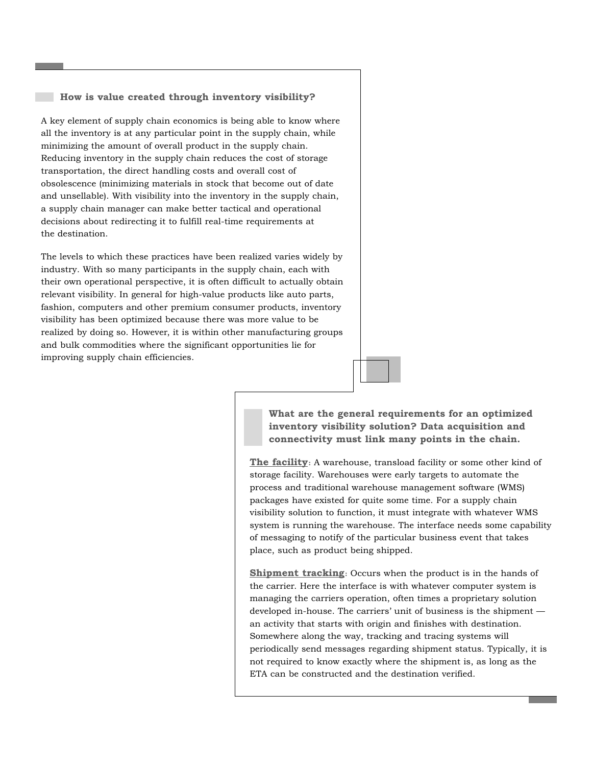#### **How is value created through inventory visibility?**

A key element of supply chain economics is being able to know where all the inventory is at any particular point in the supply chain, while minimizing the amount of overall product in the supply chain. Reducing inventory in the supply chain reduces the cost of storage transportation, the direct handling costs and overall cost of obsolescence (minimizing materials in stock that become out of date and unsellable). With visibility into the inventory in the supply chain, a supply chain manager can make better tactical and operational decisions about redirecting it to fulfill real-time requirements at the destination.

The levels to which these practices have been realized varies widely by industry. With so many participants in the supply chain, each with their own operational perspective, it is often difficult to actually obtain relevant visibility. In general for high-value products like auto parts, fashion, computers and other premium consumer products, inventory visibility has been optimized because there was more value to be realized by doing so. However, it is within other manufacturing groups and bulk commodities where the significant opportunities lie for improving supply chain efficiencies.

> **What are the general requirements for an optimized inventory visibility solution? Data acquisition and connectivity must link many points in the chain.**

**The facility:** A warehouse, transload facility or some other kind of storage facility. Warehouses were early targets to automate the process and traditional warehouse management software (WMS) packages have existed for quite some time. For a supply chain visibility solution to function, it must integrate with whatever WMS system is running the warehouse. The interface needs some capability of messaging to notify of the particular business event that takes place, such as product being shipped.

**Shipment tracking:** Occurs when the product is in the hands of the carrier. Here the interface is with whatever computer system is managing the carriers operation, often times a proprietary solution developed in-house. The carriers' unit of business is the shipment an activity that starts with origin and finishes with destination. Somewhere along the way, tracking and tracing systems will periodically send messages regarding shipment status. Typically, it is not required to know exactly where the shipment is, as long as the ETA can be constructed and the destination verified.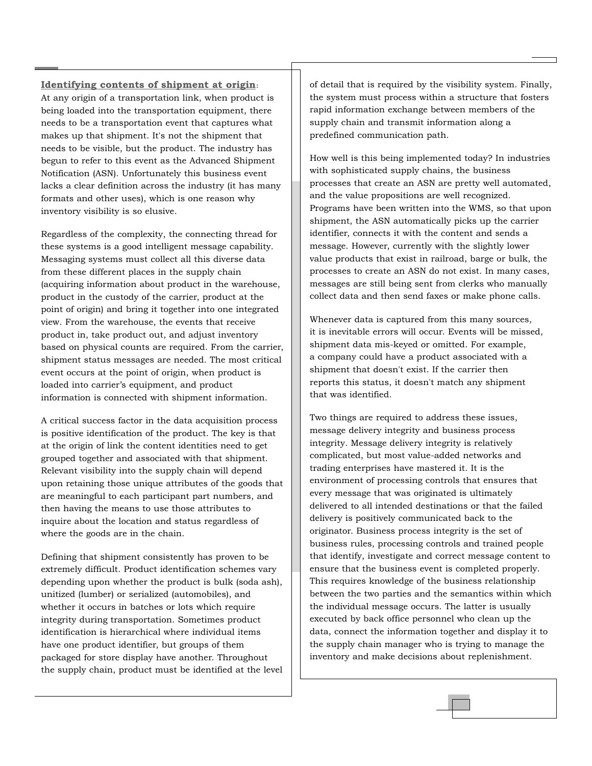## **Identifying contents of shipment at origin:**

At any origin of a transportation link, when product is being loaded into the transportation equipment, there needs to be a transportation event that captures what makes up that shipment. It's not the shipment that needs to be visible, but the product. The industry has begun to refer to this event as the Advanced Shipment Notification (ASN). Unfortunately this business event lacks a clear definition across the industry (it has many formats and other uses), which is one reason why inventory visibility is so elusive.

Regardless of the complexity, the connecting thread for these systems is a good intelligent message capability. Messaging systems must collect all this diverse data from these different places in the supply chain (acquiring information about product in the warehouse, product in the custody of the carrier, product at the point of origin) and bring it together into one integrated view. From the warehouse, the events that receive product in, take product out, and adjust inventory based on physical counts are required. From the carrier, shipment status messages are needed. The most critical event occurs at the point of origin, when product is loaded into carrier's equipment, and product information is connected with shipment information.

A critical success factor in the data acquisition process is positive identification of the product. The key is that at the origin of link the content identities need to get grouped together and associated with that shipment. Relevant visibility into the supply chain will depend upon retaining those unique attributes of the goods that are meaningful to each participant part numbers, and then having the means to use those attributes to inquire about the location and status regardless of where the goods are in the chain.

Defining that shipment consistently has proven to be extremely difficult. Product identification schemes vary depending upon whether the product is bulk (soda ash), unitized (lumber) or serialized (automobiles), and whether it occurs in batches or lots which require integrity during transportation. Sometimes product identification is hierarchical where individual items have one product identifier, but groups of them packaged for store display have another. Throughout the supply chain, product must be identified at the level of detail that is required by the visibility system. Finally, the system must process within a structure that fosters rapid information exchange between members of the supply chain and transmit information along a predefined communication path.

How well is this being implemented today? In industries with sophisticated supply chains, the business processes that create an ASN are pretty well automated, and the value propositions are well recognized. Programs have been written into the WMS, so that upon shipment, the ASN automatically picks up the carrier identifier, connects it with the content and sends a message. However, currently with the slightly lower value products that exist in railroad, barge or bulk, the processes to create an ASN do not exist. In many cases, messages are still being sent from clerks who manually collect data and then send faxes or make phone calls.

Whenever data is captured from this many sources, it is inevitable errors will occur. Events will be missed, shipment data mis-keyed or omitted. For example, a company could have a product associated with a shipment that doesn't exist. If the carrier then reports this status, it doesn't match any shipment that was identified.

Two things are required to address these issues, message delivery integrity and business process integrity. Message delivery integrity is relatively complicated, but most value-added networks and trading enterprises have mastered it. It is the environment of processing controls that ensures that every message that was originated is ultimately delivered to all intended destinations or that the failed delivery is positively communicated back to the originator. Business process integrity is the set of business rules, processing controls and trained people that identify, investigate and correct message content to ensure that the business event is completed properly. This requires knowledge of the business relationship between the two parties and the semantics within which the individual message occurs. The latter is usually executed by back office personnel who clean up the data, connect the information together and display it to the supply chain manager who is trying to manage the inventory and make decisions about replenishment.

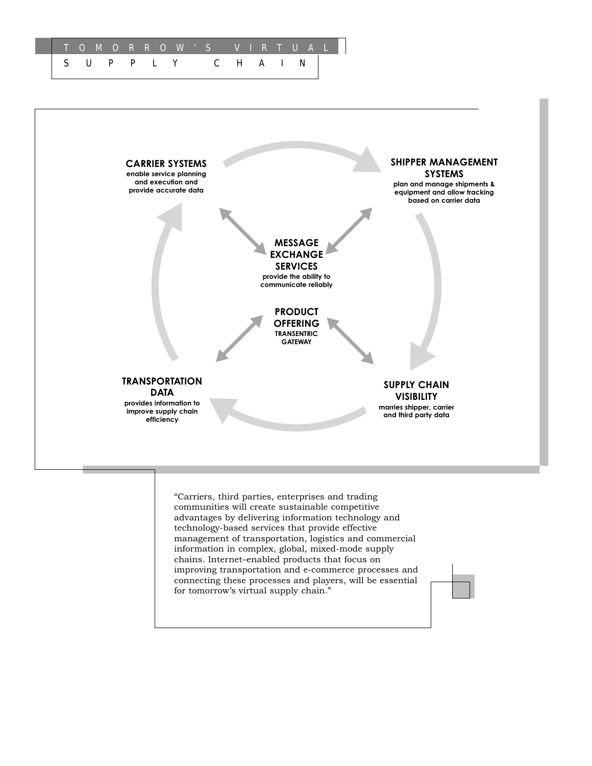



"Carriers, third parties, enterprises and trading communities will create sustainable competitive advantages by delivering information technology and technology-based services that provide effective management of transportation, logistics and commercial information in complex, global, mixed-mode supply chains. Internet–enabled products that focus on improving transportation and e-commerce processes and connecting these processes and players, will be essential for tomorrow's virtual supply chain."

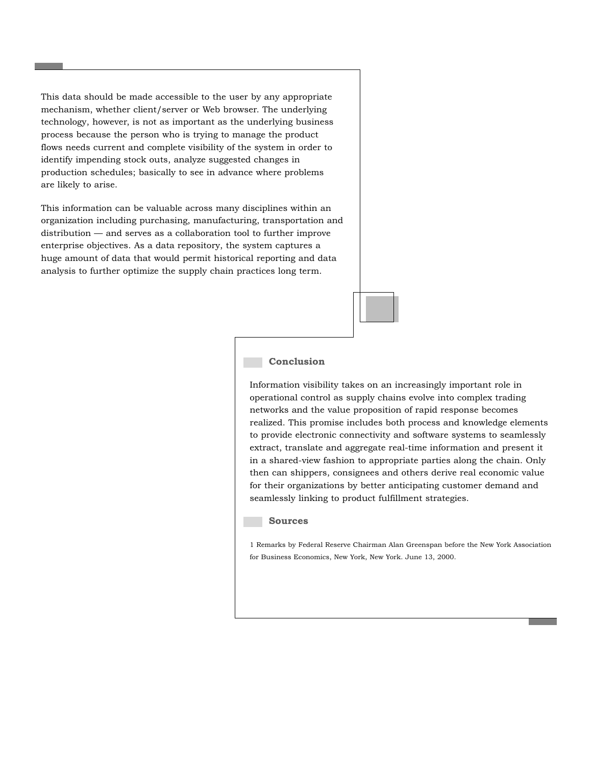This data should be made accessible to the user by any appropriate mechanism, whether client/server or Web browser. The underlying technology, however, is not as important as the underlying business process because the person who is trying to manage the product flows needs current and complete visibility of the system in order to identify impending stock outs, analyze suggested changes in production schedules; basically to see in advance where problems are likely to arise.

This information can be valuable across many disciplines within an organization including purchasing, manufacturing, transportation and distribution — and serves as a collaboration tool to further improve enterprise objectives. As a data repository, the system captures a huge amount of data that would permit historical reporting and data analysis to further optimize the supply chain practices long term.

## **Conclusion**

Information visibility takes on an increasingly important role in operational control as supply chains evolve into complex trading networks and the value proposition of rapid response becomes realized. This promise includes both process and knowledge elements to provide electronic connectivity and software systems to seamlessly extract, translate and aggregate real-time information and present it in a shared-view fashion to appropriate parties along the chain. Only then can shippers, consignees and others derive real economic value for their organizations by better anticipating customer demand and seamlessly linking to product fulfillment strategies.

#### **Sources**

1 Remarks by Federal Reserve Chairman Alan Greenspan before the New York Association for Business Economics, New York, New York. June 13, 2000.